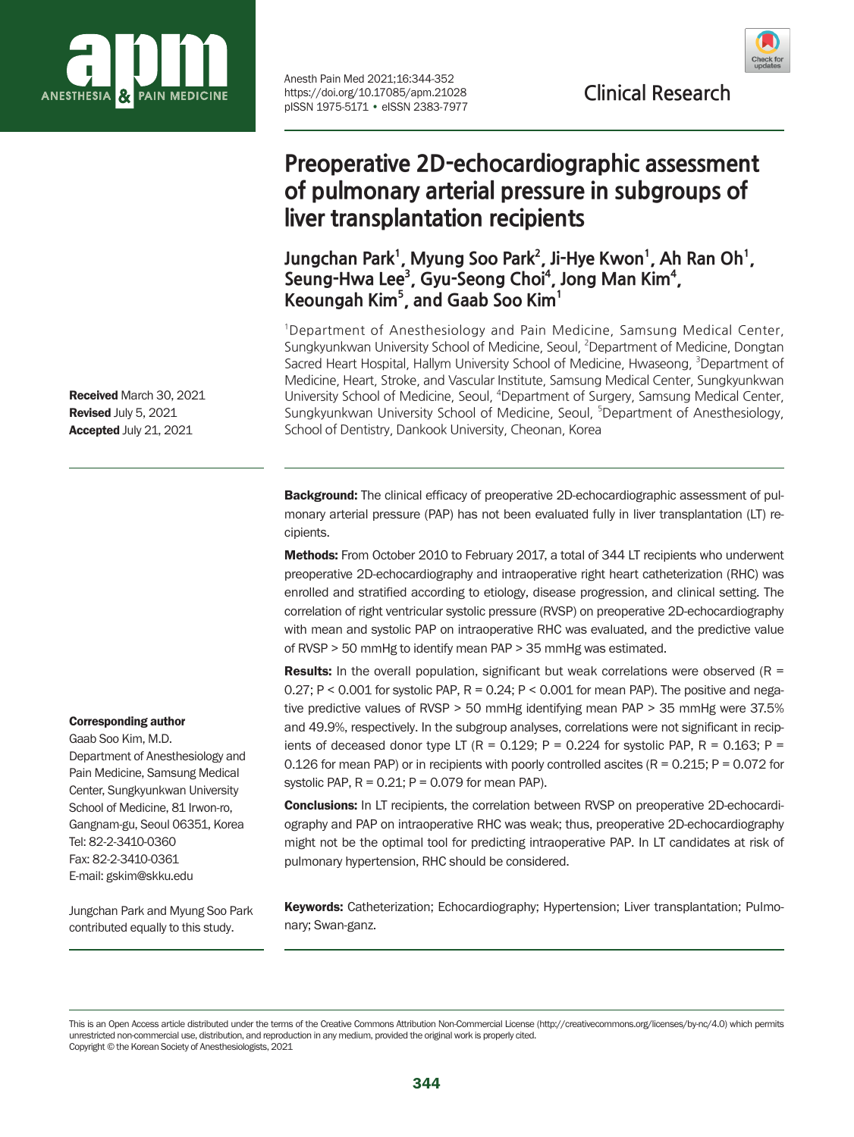

Anesth Pain Med 2021;16:344-352<br>https://doi.org/10.17085/apm.21028 **Clinical Research** https://doi.org/10.17085/apm.21028 pISSN 1975-5171 • eISSN 2383-7977

# **Preoperative 2D-echocardiographic assessment of pulmonary arterial pressure in subgroups of liver transplantation recipients**

Jungchan Park<sup>1</sup>, Myung Soo Park<sup>2</sup>, Ji-Hye Kwon<sup>1</sup>, Ah Ran Oh<sup>1</sup>, Seung-Hwa Lee<sup>3</sup>, Gyu-Seong Choi<sup>4</sup>, Jong Man Kim<sup>4</sup>, **Keoungah Kim5 , and Gaab Soo Kim1**

<sup>1</sup>Department of Anesthesiology and Pain Medicine, Samsung Medical Center, Sungkyunkwan University School of Medicine, Seoul, <sup>2</sup>Department of Medicine, Dongtan Sacred Heart Hospital, Hallym University School of Medicine, Hwaseong, <sup>3</sup>Department of Medicine, Heart, Stroke, and Vascular Institute, Samsung Medical Center, Sungkyunkwan University School of Medicine, Seoul, <sup>4</sup>Department of Surgery, Samsung Medical Center, Sungkyunkwan University School of Medicine, Seoul, <sup>5</sup>Department of Anesthesiology, School of Dentistry, Dankook University, Cheonan, Korea

**Background:** The clinical efficacy of preoperative 2D-echocardiographic assessment of pulmonary arterial pressure (PAP) has not been evaluated fully in liver transplantation (LT) recipients.

Methods: From October 2010 to February 2017, a total of 344 LT recipients who underwent preoperative 2D-echocardiography and intraoperative right heart catheterization (RHC) was enrolled and stratified according to etiology, disease progression, and clinical setting. The correlation of right ventricular systolic pressure (RVSP) on preoperative 2D-echocardiography with mean and systolic PAP on intraoperative RHC was evaluated, and the predictive value of RVSP > 50 mmHg to identify mean PAP > 35 mmHg was estimated.

**Results:** In the overall population, significant but weak correlations were observed ( $R =$ 0.27; P < 0.001 for systolic PAP,  $R = 0.24$ ; P < 0.001 for mean PAP). The positive and negative predictive values of RVSP > 50 mmHg identifying mean PAP > 35 mmHg were 37.5% and 49.9%, respectively. In the subgroup analyses, correlations were not significant in recipients of deceased donor type LT (R =  $0.129$ ; P =  $0.224$  for systolic PAP, R =  $0.163$ ; P = 0.126 for mean PAP) or in recipients with poorly controlled ascites ( $R = 0.215$ ;  $P = 0.072$  for systolic PAP,  $R = 0.21$ ;  $P = 0.079$  for mean PAP).

**Conclusions:** In LT recipients, the correlation between RVSP on preoperative 2D-echocardiography and PAP on intraoperative RHC was weak; thus, preoperative 2D-echocardiography might not be the optimal tool for predicting intraoperative PAP. In LT candidates at risk of pulmonary hypertension, RHC should be considered.

Keywords: Catheterization; Echocardiography; Hypertension; Liver transplantation; Pulmonary; Swan-ganz.

Received March 30, 2021 Revised July 5, 2021 Accepted July 21, 2021

#### Corresponding author

Gaab Soo Kim, M.D. Department of Anesthesiology and Pain Medicine, Samsung Medical Center, Sungkyunkwan University School of Medicine, 81 Irwon-ro, Gangnam-gu, Seoul 06351, Korea Tel: 82-2-3410-0360 Fax: 82-2-3410-0361 E-mail: gskim@skku.edu

Jungchan Park and Myung Soo Park contributed equally to this study.

This is an Open Access article distributed under the terms of the Creative Commons Attribution Non-Commercial License (http://creativecommons.org/licenses/by-nc/4.0) which permits unrestricted non-commercial use, distribution, and reproduction in any medium, provided the original work is properly cited. Copyright © the Korean Society of Anesthesiologists, 2021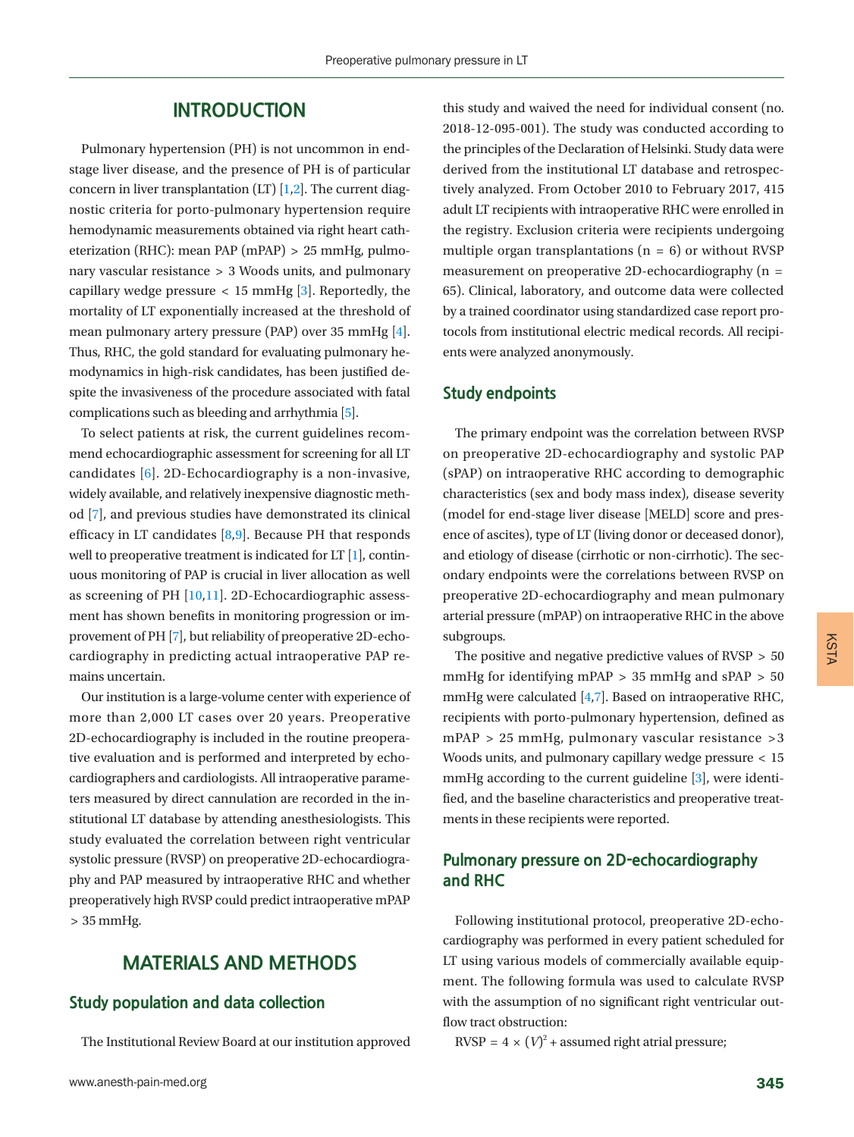## **INTRODUCTION**

Pulmonary hypertension (PH) is not uncommon in endstage liver disease, and the presence of PH is of particular concern in liver transplantation  $(LT)$  [\[1](#page-7-0)[,2](#page-7-1)]. The current diagnostic criteria for porto-pulmonary hypertension require hemodynamic measurements obtained via right heart catheterization (RHC): mean PAP (mPAP) > 25 mmHg, pulmonary vascular resistance > 3 Woods units, and pulmonary capillary wedge pressure  $\langle 15 \text{ mmHg} [3]$  $\langle 15 \text{ mmHg} [3]$ . Reportedly, the mortality of LT exponentially increased at the threshold of mean pulmonary artery pressure (PAP) over 35 mmHg [\[4\]](#page-7-3). Thus, RHC, the gold standard for evaluating pulmonary hemodynamics in high-risk candidates, has been justified despite the invasiveness of the procedure associated with fatal complications such as bleeding and arrhythmia [\[5](#page-7-4)].

To select patients at risk, the current guidelines recommend echocardiographic assessment for screening for all LT candidates [[6\]](#page-7-5). 2D-Echocardiography is a non-invasive, widely available, and relatively inexpensive diagnostic method [\[7](#page-7-4)], and previous studies have demonstrated its clinical efficacy in LT candidates  $[8,9]$  $[8,9]$  $[8,9]$ . Because PH that responds well to preoperative treatment is indicated for LT [\[1](#page-7-0)], continuous monitoring of PAP is crucial in liver allocation as well as screening of PH [\[10](#page-8-0)[,11](#page-8-1)]. 2D-Echocardiographic assessment has shown benefits in monitoring progression or improvement of PH [\[7](#page-7-4)], but reliability of preoperative 2D-echocardiography in predicting actual intraoperative PAP remains uncertain.

Our institution is a large-volume center with experience of more than 2,000 LT cases over 20 years. Preoperative 2D-echocardiography is included in the routine preoperative evaluation and is performed and interpreted by echocardiographers and cardiologists. All intraoperative parameters measured by direct cannulation are recorded in the institutional LT database by attending anesthesiologists. This study evaluated the correlation between right ventricular systolic pressure (RVSP) on preoperative 2D-echocardiography and PAP measured by intraoperative RHC and whether preoperatively high RVSP could predict intraoperative mPAP > 35 mmHg.

# **MATERIALS AND METHODS**

# **Study population and data collection**

The Institutional Review Board at our institution approved

this study and waived the need for individual consent (no. 2018-12-095-001). The study was conducted according to the principles of the Declaration of Helsinki. Study data were derived from the institutional LT database and retrospectively analyzed. From October 2010 to February 2017, 415 adult LT recipients with intraoperative RHC were enrolled in the registry. Exclusion criteria were recipients undergoing multiple organ transplantations ( $n = 6$ ) or without RVSP measurement on preoperative 2D-echocardiography (n = 65). Clinical, laboratory, and outcome data were collected by a trained coordinator using standardized case report protocols from institutional electric medical records. All recipients were analyzed anonymously.

#### **Study endpoints**

The primary endpoint was the correlation between RVSP on preoperative 2D-echocardiography and systolic PAP (sPAP) on intraoperative RHC according to demographic characteristics (sex and body mass index), disease severity (model for end-stage liver disease [MELD] score and presence of ascites), type of LT (living donor or deceased donor), and etiology of disease (cirrhotic or non-cirrhotic). The secondary endpoints were the correlations between RVSP on preoperative 2D-echocardiography and mean pulmonary arterial pressure (mPAP) on intraoperative RHC in the above subgroups.

The positive and negative predictive values of RVSP > 50 mmHg for identifying mPAP > 35 mmHg and sPAP > 50 mmHg were calculated [\[4](#page-7-3)[,7](#page-7-4)]. Based on intraoperative RHC, recipients with porto-pulmonary hypertension, defined as mPAP > 25 mmHg, pulmonary vascular resistance > 3 Woods units, and pulmonary capillary wedge pressure < 15 mmHg according to the current guideline [3], were identified, and the baseline characteristics and preoperative treatments in these recipients were reported.

# **Pulmonary pressure on 2D-echocardiography and RHC**

Following institutional protocol, preoperative 2D-echocardiography was performed in every patient scheduled for LT using various models of commercially available equipment. The following formula was used to calculate RVSP with the assumption of no significant right ventricular outflow tract obstruction:

 $RVSP = 4 \times (V)^2 +$  assumed right atrial pressure;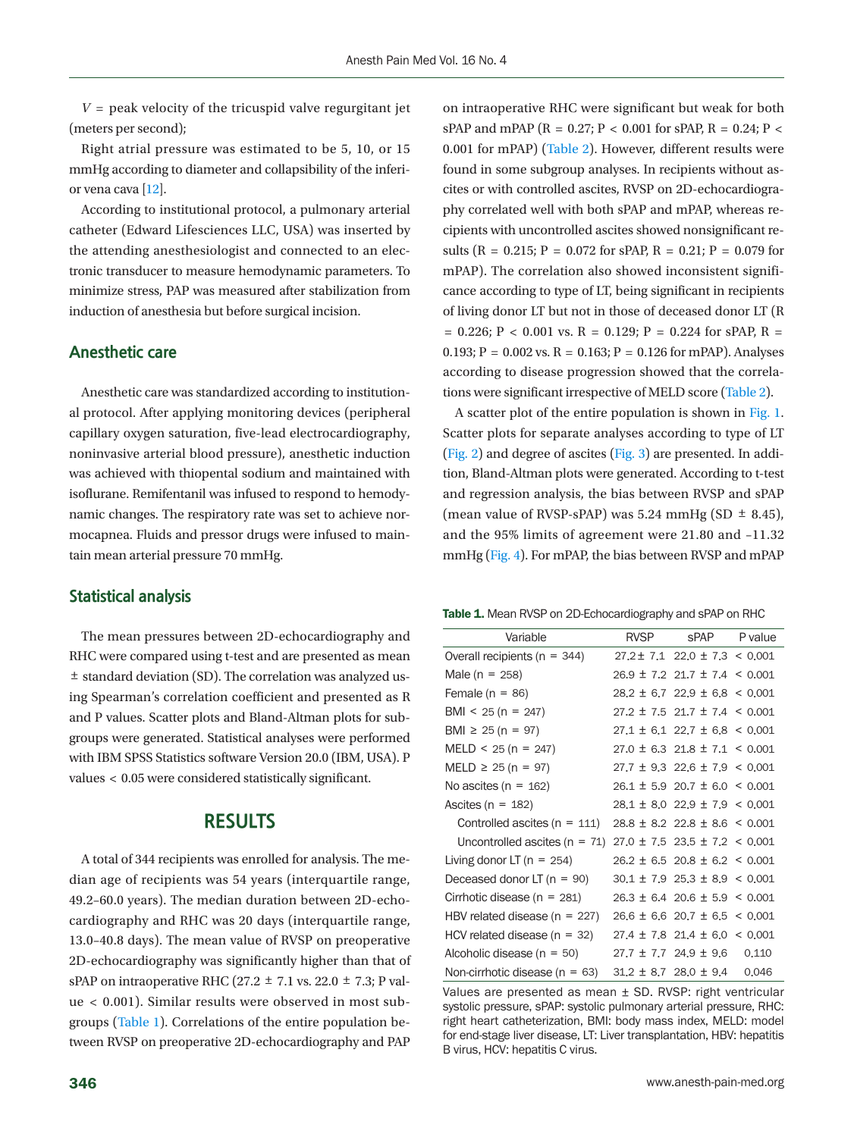$V =$  peak velocity of the tricuspid valve regurgitant jet (meters per second);

Right atrial pressure was estimated to be 5, 10, or 15 mmHg according to diameter and collapsibility of the inferior vena cava [[12](#page-8-2)].

According to institutional protocol, a pulmonary arterial catheter (Edward Lifesciences LLC, USA) was inserted by the attending anesthesiologist and connected to an electronic transducer to measure hemodynamic parameters. To minimize stress, PAP was measured after stabilization from induction of anesthesia but before surgical incision.

### **Anesthetic care**

Anesthetic care was standardized according to institutional protocol. After applying monitoring devices (peripheral capillary oxygen saturation, five-lead electrocardiography, noninvasive arterial blood pressure), anesthetic induction was achieved with thiopental sodium and maintained with isoflurane. Remifentanil was infused to respond to hemodynamic changes. The respiratory rate was set to achieve normocapnea. Fluids and pressor drugs were infused to maintain mean arterial pressure 70 mmHg.

#### **Statistical analysis**

The mean pressures between 2D-echocardiography and RHC were compared using t-test and are presented as mean ± standard deviation (SD). The correlation was analyzed using Spearman's correlation coefficient and presented as R and P values. Scatter plots and Bland-Altman plots for subgroups were generated. Statistical analyses were performed with IBM SPSS Statistics software Version 20.0 (IBM, USA). P values < 0.05 were considered statistically significant.

## **RESULTS**

A total of 344 recipients was enrolled for analysis. The median age of recipients was 54 years (interquartile range, 49.2–60.0 years). The median duration between 2D-echocardiography and RHC was 20 days (interquartile range, 13.0–40.8 days). The mean value of RVSP on preoperative 2D-echocardiography was significantly higher than that of sPAP on intraoperative RHC (27.2  $\pm$  7.1 vs. 22.0  $\pm$  7.3; P value < 0.001). Similar results were observed in most subgroups [\(Table 1\)](#page-2-0). Correlations of the entire population between RVSP on preoperative 2D-echocardiography and PAP

on intraoperative RHC were significant but weak for both sPAP and mPAP (R = 0.27; P < 0.001 for sPAP, R = 0.24; P < 0.001 for mPAP) [\(Table 2](#page-3-0)). However, different results were found in some subgroup analyses. In recipients without ascites or with controlled ascites, RVSP on 2D-echocardiography correlated well with both sPAP and mPAP, whereas recipients with uncontrolled ascites showed nonsignificant results (R = 0.215; P = 0.072 for sPAP, R = 0.21; P = 0.079 for mPAP). The correlation also showed inconsistent significance according to type of LT, being significant in recipients of living donor LT but not in those of deceased donor LT (R  $= 0.226$ ; P < 0.001 vs. R = 0.129; P = 0.224 for sPAP, R = 0.193;  $P = 0.002$  vs.  $R = 0.163$ ;  $P = 0.126$  for mPAP). Analyses according to disease progression showed that the correlations were significant irrespective of MELD score [\(Table 2](#page-3-0)).

A scatter plot of the entire population is shown in [Fig. 1.](#page-7-6) Scatter plots for separate analyses according to type of LT [\(Fig. 2\)](#page-4-0) and degree of ascites [\(Fig. 3](#page-4-1)) are presented. In addition, Bland-Altman plots were generated. According to t-test and regression analysis, the bias between RVSP and sPAP (mean value of RVSP-sPAP) was 5.24 mmHg (SD  $\pm$  8.45), and the 95% limits of agreement were 21.80 and –11.32 mmHg [\(Fig. 4\)](#page-5-0). For mPAP, the bias between RVSP and mPAP

<span id="page-2-0"></span>Table 1. Mean RVSP on 2D-Echocardiography and sPAP on RHC

| Variable                           | <b>RVSP</b> | sPAP                                    | P value |  |
|------------------------------------|-------------|-----------------------------------------|---------|--|
| Overall recipients ( $n = 344$ )   |             | $27.2 \pm 7.1$ 22.0 $\pm$ 7.3 < 0.001   |         |  |
| Male (n = 258)                     |             | $26.9 \pm 7.2$ 21.7 $\pm$ 7.4 < 0.001   |         |  |
| Female $(n = 86)$                  |             | $28.2 \pm 6.7$ 22.9 $\pm$ 6.8 < 0.001   |         |  |
| $BMI < 25 (n = 247)$               |             | $27.2 \pm 7.5$ 21.7 $\pm$ 7.4 < 0.001   |         |  |
| BMI $\geq$ 25 (n = 97)             |             | $27.1 \pm 6.1$ 22.7 $\pm 6.8$ < 0.001   |         |  |
| $MELD < 25 (n = 247)$              |             | $27.0 \pm 6.3$ 21.8 $\pm$ 7.1 < 0.001   |         |  |
| $MELD \ge 25 (n = 97)$             |             | $27.7 \pm 9.3$ 22.6 $\pm 7.9 \le 0.001$ |         |  |
| No ascites ( $n = 162$ )           |             | $26.1 \pm 5.9$ 20.7 $\pm$ 6.0 < 0.001   |         |  |
| Ascites ( $n = 182$ )              |             | $28.1 \pm 8.0$ 22.9 $\pm$ 7.9 < 0.001   |         |  |
| Controlled ascites $(n = 111)$     |             | $28.8 \pm 8.2$ 22.8 $\pm$ 8.6 < 0.001   |         |  |
| Uncontrolled ascites $(n = 71)$    |             | $27.0 \pm 7.5$ $23.5 \pm 7.2$ < 0.001   |         |  |
| Living donor LT ( $n = 254$ )      |             | $26.2 \pm 6.5$ 20.8 $\pm$ 6.2 < 0.001   |         |  |
| Deceased donor LT $(n = 90)$       |             | $30.1 \pm 7.9$ 25.3 $\pm$ 8.9 < 0.001   |         |  |
| Cirrhotic disease (n = 281)        |             | $26.3 \pm 6.4$ 20.6 $\pm$ 5.9 < 0.001   |         |  |
| HBV related disease ( $n = 227$ )  |             | $26.6 \pm 6.6$ 20.7 $\pm 6.5 \le 0.001$ |         |  |
| HCV related disease ( $n = 32$ )   |             | $27.4 \pm 7.8$ 21.4 $\pm$ 6.0 < 0.001   |         |  |
| Alcoholic disease ( $n = 50$ )     |             | $27.7 \pm 7.7$ 24.9 $\pm$ 9.6           | 0.110   |  |
| Non-cirrhotic disease ( $n = 63$ ) |             | $31.2 \pm 8.7$ 28.0 $\pm$ 9.4 0.046     |         |  |

Values are presented as mean ± SD. RVSP: right ventricular systolic pressure, sPAP: systolic pulmonary arterial pressure, RHC: right heart catheterization, BMI: body mass index, MELD: model for end-stage liver disease, LT: Liver transplantation, HBV: hepatitis B virus, HCV: hepatitis C virus.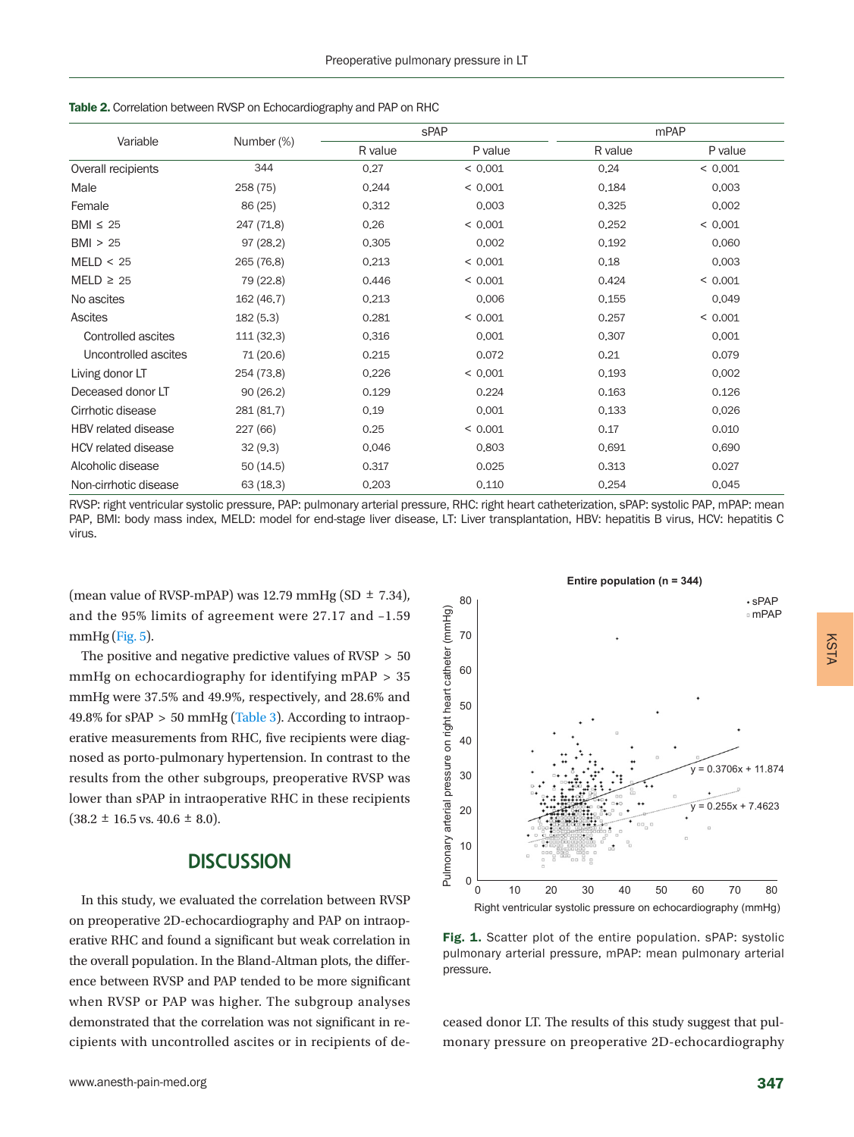| Variable                   | Number (%) |         | <b>sPAP</b> | mPAP    |         |  |
|----------------------------|------------|---------|-------------|---------|---------|--|
|                            |            | R value | P value     | R value | P value |  |
| Overall recipients         | 344        | 0.27    | < 0.001     | 0.24    | < 0.001 |  |
| Male                       | 258 (75)   | 0.244   | < 0.001     | 0.184   | 0.003   |  |
| Female                     | 86 (25)    | 0.312   | 0,003       | 0,325   | 0.002   |  |
| BMI $\leq$ 25              | 247 (71.8) | 0.26    | < 0.001     | 0.252   | < 0.001 |  |
| BM > 25                    | 97(28.2)   | 0.305   | 0.002       | 0.192   | 0.060   |  |
| MELD < 25                  | 265 (76.8) | 0,213   | < 0.001     | 0.18    | 0.003   |  |
| $MELD \geq 25$             | 79 (22.8)  | 0,446   | < 0.001     | 0,424   | < 0.001 |  |
| No ascites                 | 162 (46.7) | 0.213   | 0,006       | 0.155   | 0,049   |  |
| <b>Ascites</b>             | 182(5.3)   | 0,281   | < 0.001     | 0,257   | < 0.001 |  |
| Controlled ascites         | 111 (32.3) | 0.316   | 0,001       | 0,307   | 0,001   |  |
| Uncontrolled ascites       | 71 (20.6)  | 0.215   | 0.072       | 0,21    | 0,079   |  |
| Living donor LT            | 254 (73.8) | 0.226   | < 0.001     | 0.193   | 0.002   |  |
| Deceased donor LT          | 90(26.2)   | 0.129   | 0.224       | 0.163   | 0.126   |  |
| Cirrhotic disease          | 281 (81.7) | 0.19    | 0.001       | 0.133   | 0,026   |  |
| HBV related disease        | 227 (66)   | 0.25    | < 0.001     | 0.17    | 0.010   |  |
| <b>HCV</b> related disease | 32(9.3)    | 0,046   | 0.803       | 0,691   | 0,690   |  |
| Alcoholic disease          | 50(14.5)   | 0.317   | 0.025       | 0,313   | 0,027   |  |
| Non-cirrhotic disease      | 63(18.3)   | 0.203   | 0.110       | 0,254   | 0.045   |  |

<span id="page-3-0"></span>

RVSP: right ventricular systolic pressure, PAP: pulmonary arterial pressure, RHC: right heart catheterization, sPAP: systolic PAP, mPAP: mean PAP, BMI: body mass index, MELD: model for end-stage liver disease, LT: Liver transplantation, HBV: hepatitis B virus, HCV: hepatitis C virus.

(mean value of RVSP-mPAP) was 12.79 mmHg (SD  $\pm$  7.34), and the 95% limits of agreement were 27.17 and –1.59  $mmHg$  [\(Fig. 5\)](#page-5-1).

The positive and negative predictive values of RVSP > 50 mmHg on echocardiography for identifying mPAP > 35 mmHg were 37.5% and 49.9%, respectively, and 28.6% and 49.8% for sPAP > 50 mmHg [\(Table 3\)](#page-5-2). According to intraoperative measurements from RHC, five recipients were diagnosed as porto-pulmonary hypertension. In contrast to the results from the other subgroups, preoperative RVSP was lower than sPAP in intraoperative RHC in these recipients  $(38.2 \pm 16.5 \text{ vs. } 40.6 \pm 8.0).$ 

# **DISCUSSION**

In this study, we evaluated the correlation between RVSP on preoperative 2D-echocardiography and PAP on intraoperative RHC and found a significant but weak correlation in the overall population. In the Bland-Altman plots, the difference between RVSP and PAP tended to be more significant when RVSP or PAP was higher. The subgroup analyses demonstrated that the correlation was not significant in recipients with uncontrolled ascites or in recipients of de-



Fig. 1. Scatter plot of the entire population. sPAP: systolic pulmonary arterial pressure, mPAP: mean pulmonary arterial pressure.

ceased donor LT. The results of this study suggest that pulmonary pressure on preoperative 2D-echocardiography KSTA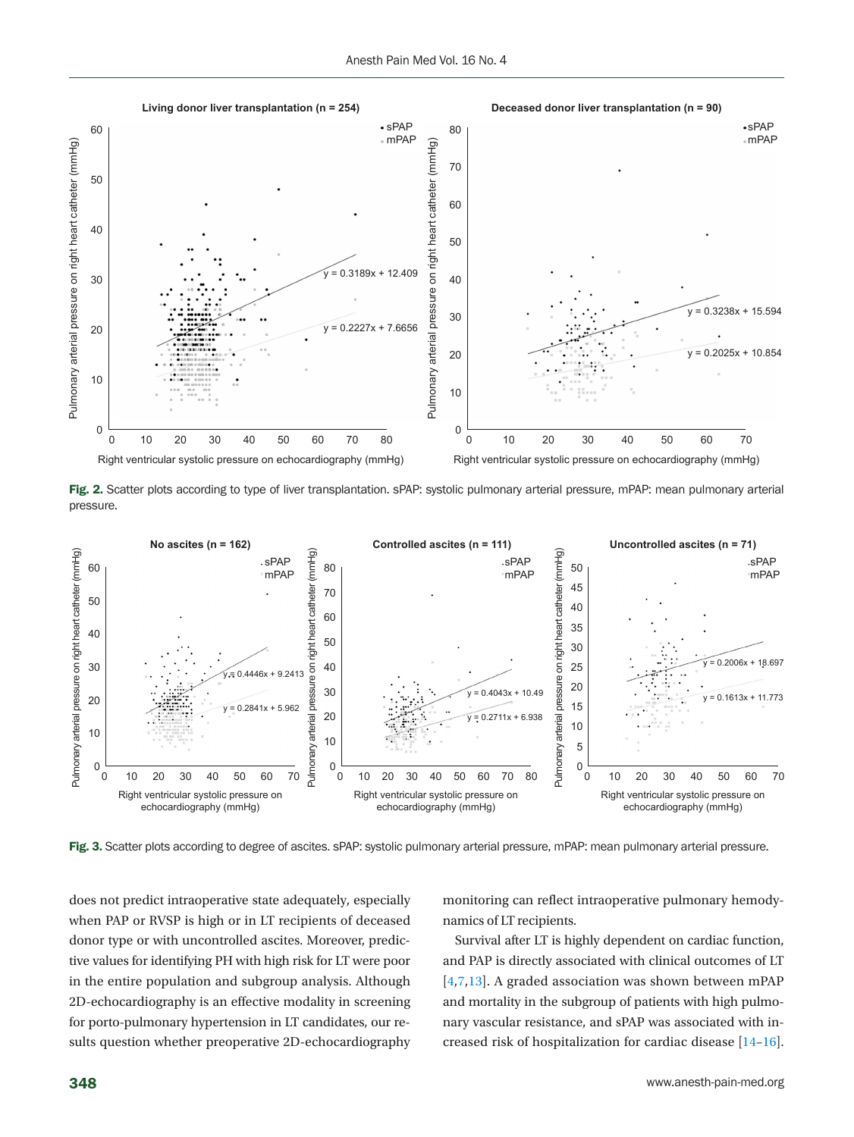<span id="page-4-0"></span>

Fig. 2. Scatter plots according to type of liver transplantation. sPAP: systolic pulmonary arterial pressure, mPAP: mean pulmonary arterial pressure.

<span id="page-4-1"></span>

Fig. 3. Scatter plots according to degree of ascites. sPAP: systolic pulmonary arterial pressure, mPAP: mean pulmonary arterial pressure.

does not predict intraoperative state adequately, especially when PAP or RVSP is high or in LT recipients of deceased donor type or with uncontrolled ascites. Moreover, predictive values for identifying PH with high risk for LT were poor in the entire population and subgroup analysis. Although 2D-echocardiography is an effective modality in screening for porto-pulmonary hypertension in LT candidates, our results question whether preoperative 2D-echocardiography

monitoring can reflect intraoperative pulmonary hemodynamics of LT recipients.

Survival after LT is highly dependent on cardiac function, and PAP is directly associated with clinical outcomes of LT [4,[7,13\]](#page-8-3). A graded association was shown between mPAP and mortality in the subgroup of patients with high pulmonary vascular resistance, and sPAP was associated with increased risk of hospitalization for cardiac disease [\[14–](#page-8-4)[16\]](#page-8-5).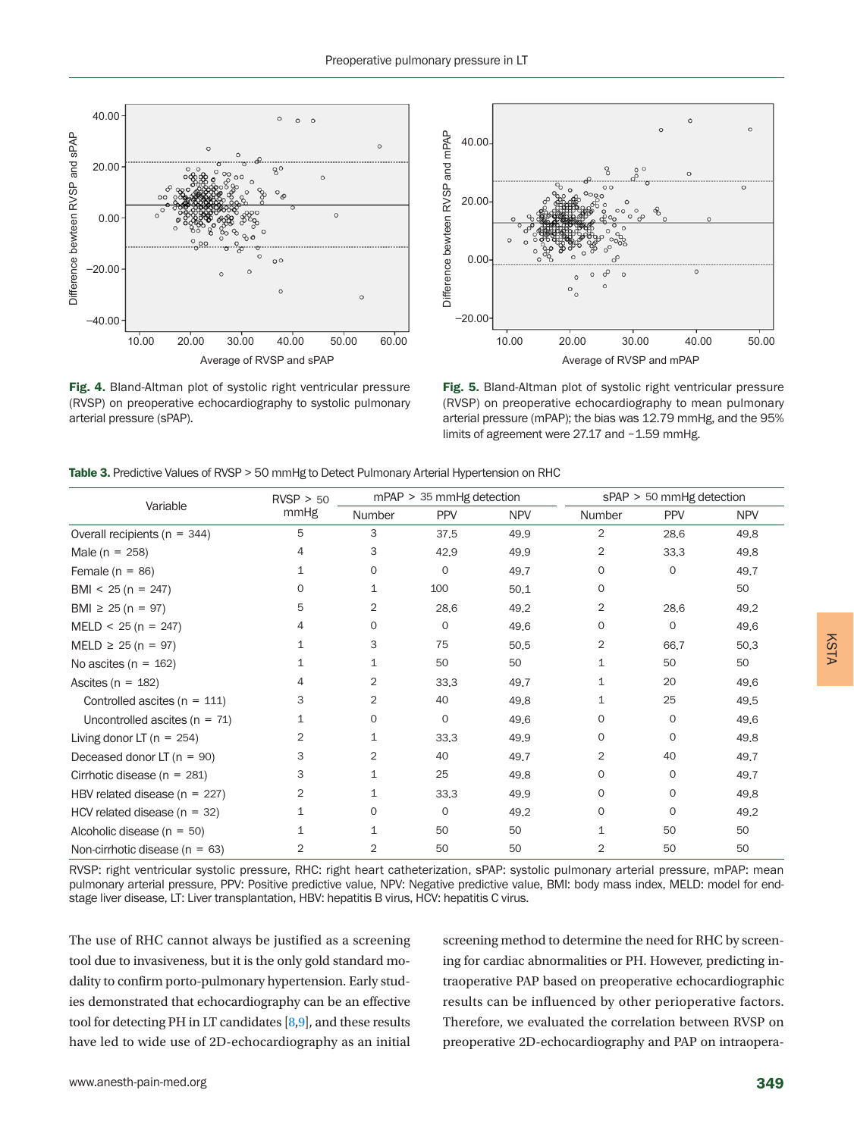

Fig. 4. Bland-Altman plot of systolic right ventricular pressure (RVSP) on preoperative echocardiography to systolic pulmonary arterial pressure (sPAP).

<span id="page-5-0"></span>

<span id="page-5-1"></span>Fig. 5. Bland-Altman plot of systolic right ventricular pressure (RVSP) on preoperative echocardiography to mean pulmonary arterial pressure (mPAP); the bias was 12.79 mmHg, and the 95% limits of agreement were 27.17 and -1.59 mmHg.

<span id="page-5-2"></span>Table 3. Predictive Values of RVSP > 50 mmHg to Detect Pulmonary Arterial Hypertension on RHC

| Variable                           | RVSP > 50<br>mmHg | $mPAP > 35$ mmHg detection |            |            | sPAP > 50 mmHg detection |             |            |
|------------------------------------|-------------------|----------------------------|------------|------------|--------------------------|-------------|------------|
|                                    |                   | <b>Number</b>              | <b>PPV</b> | <b>NPV</b> | Number                   | <b>PPV</b>  | <b>NPV</b> |
| Overall recipients ( $n = 344$ )   | 5                 | 3                          | 37,5       | 49.9       | 2                        | 28,6        | 49.8       |
| Male ( $n = 258$ )                 | 4                 | З                          | 42,9       | 49.9       | 2                        | 33,3        | 49.8       |
| Female $(n = 86)$                  | 1                 | $\Omega$                   | 0          | 49.7       | $\Omega$                 | $\mathbf 0$ | 49.7       |
| BMI < $25 (n = 247)$               | 0                 | 1                          | 100        | 50.1       | 0                        |             | 50         |
| BMI $\geq 25$ (n = 97)             | 5                 | 2                          | 28,6       | 49.2       | 2                        | 28,6        | 49.2       |
| $MELD < 25 (n = 247)$              | 4                 | 0                          | 0          | 49.6       | 0                        | 0           | 49.6       |
| $MELD \ge 25 (n = 97)$             | 1                 | 3                          | 75         | 50.5       | 2                        | 66.7        | 50,3       |
| No ascites ( $n = 162$ )           | 1                 | 1                          | 50         | 50         | 1                        | 50          | 50         |
| Ascites ( $n = 182$ )              | 4                 | 2                          | 33,3       | 49.7       | 1                        | 20          | 49.6       |
| Controlled ascites ( $n = 111$ )   | 3                 | 2                          | 40         | 49.8       | 1                        | 25          | 49,5       |
| Uncontrolled ascites ( $n = 71$ )  | 1                 | 0                          | 0          | 49.6       | 0                        | 0           | 49.6       |
| Living donor LT ( $n = 254$ )      | 2                 | 1                          | 33,3       | 49.9       | 0                        | $\Omega$    | 49.8       |
| Deceased donor LT $(n = 90)$       | 3                 | 2                          | 40         | 49.7       | 2                        | 40          | 49.7       |
| Cirrhotic disease ( $n = 281$ )    | 3                 | 1                          | 25         | 49.8       | $\Omega$                 | 0           | 49.7       |
| HBV related disease ( $n = 227$ )  | 2                 | 1                          | 33,3       | 49.9       | 0                        | $\Omega$    | 49.8       |
| HCV related disease ( $n = 32$ )   | 1                 | $\Omega$                   | 0          | 49.2       | $\Omega$                 | $\Omega$    | 49.2       |
| Alcoholic disease ( $n = 50$ )     | 1                 | 1                          | 50         | 50         | $\mathbf{1}$             | 50          | 50         |
| Non-cirrhotic disease ( $n = 63$ ) | 2                 | 2                          | 50         | 50         | 2                        | 50          | 50         |

RVSP: right ventricular systolic pressure, RHC: right heart catheterization, sPAP: systolic pulmonary arterial pressure, mPAP: mean pulmonary arterial pressure, PPV: Positive predictive value, NPV: Negative predictive value, BMI: body mass index, MELD: model for endstage liver disease, LT: Liver transplantation, HBV: hepatitis B virus, HCV: hepatitis C virus.

The use of RHC cannot always be justified as a screening tool due to invasiveness, but it is the only gold standard modality to confirm porto-pulmonary hypertension. Early studies demonstrated that echocardiography can be an effective tool for detecting PH in LT candidates [8,9], and these results have led to wide use of 2D-echocardiography as an initial

screening method to determine the need for RHC by screening for cardiac abnormalities or PH. However, predicting intraoperative PAP based on preoperative echocardiographic results can be influenced by other perioperative factors. Therefore, we evaluated the correlation between RVSP on preoperative 2D-echocardiography and PAP on intraoperaKSTA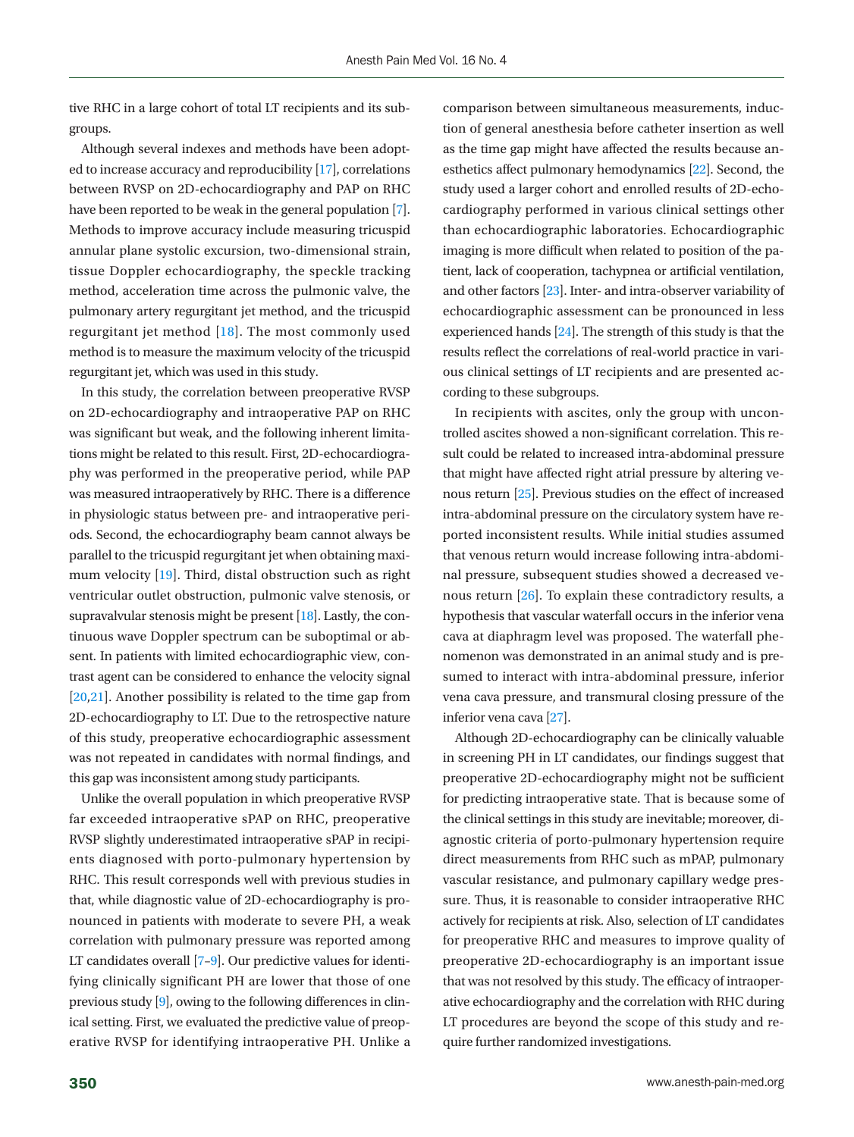tive RHC in a large cohort of total LT recipients and its subgroups.

Although several indexes and methods have been adopted to increase accuracy and reproducibility [\[17\]](#page-8-6), correlations between RVSP on 2D-echocardiography and PAP on RHC have been reported to be weak in the general population [7]. Methods to improve accuracy include measuring tricuspid annular plane systolic excursion, two-dimensional strain, tissue Doppler echocardiography, the speckle tracking method, acceleration time across the pulmonic valve, the pulmonary artery regurgitant jet method, and the tricuspid regurgitant jet method [\[18\]](#page-8-4). The most commonly used method is to measure the maximum velocity of the tricuspid regurgitant jet, which was used in this study.

In this study, the correlation between preoperative RVSP on 2D-echocardiography and intraoperative PAP on RHC was significant but weak, and the following inherent limitations might be related to this result. First, 2D-echocardiography was performed in the preoperative period, while PAP was measured intraoperatively by RHC. There is a difference in physiologic status between pre- and intraoperative periods. Second, the echocardiography beam cannot always be parallel to the tricuspid regurgitant jet when obtaining maximum velocity [\[19\]](#page-8-7). Third, distal obstruction such as right ventricular outlet obstruction, pulmonic valve stenosis, or supravalvular stenosis might be present [18]. Lastly, the continuous wave Doppler spectrum can be suboptimal or absent. In patients with limited echocardiographic view, contrast agent can be considered to enhance the velocity signal [\[20](#page-8-8)[,21\]](#page-8-9). Another possibility is related to the time gap from 2D-echocardiography to LT. Due to the retrospective nature of this study, preoperative echocardiographic assessment was not repeated in candidates with normal findings, and this gap was inconsistent among study participants.

Unlike the overall population in which preoperative RVSP far exceeded intraoperative sPAP on RHC, preoperative RVSP slightly underestimated intraoperative sPAP in recipients diagnosed with porto-pulmonary hypertension by RHC. This result corresponds well with previous studies in that, while diagnostic value of 2D-echocardiography is pronounced in patients with moderate to severe PH, a weak correlation with pulmonary pressure was reported among LT candidates overall [7–9]. Our predictive values for identifying clinically significant PH are lower that those of one previous study [9], owing to the following differences in clinical setting. First, we evaluated the predictive value of preoperative RVSP for identifying intraoperative PH. Unlike a

comparison between simultaneous measurements, induction of general anesthesia before catheter insertion as well as the time gap might have affected the results because anesthetics affect pulmonary hemodynamics [\[22\]](#page-8-10). Second, the study used a larger cohort and enrolled results of 2D-echocardiography performed in various clinical settings other than echocardiographic laboratories. Echocardiographic imaging is more difficult when related to position of the patient, lack of cooperation, tachypnea or artificial ventilation, and other factors [\[23](#page-8-11)]. Inter- and intra-observer variability of echocardiographic assessment can be pronounced in less experienced hands [\[24\]](#page-8-12). The strength of this study is that the results reflect the correlations of real-world practice in various clinical settings of LT recipients and are presented according to these subgroups.

In recipients with ascites, only the group with uncontrolled ascites showed a non-significant correlation. This result could be related to increased intra-abdominal pressure that might have affected right atrial pressure by altering venous return [\[25\]](#page-8-13). Previous studies on the effect of increased intra-abdominal pressure on the circulatory system have reported inconsistent results. While initial studies assumed that venous return would increase following intra-abdominal pressure, subsequent studies showed a decreased venous return [\[26](#page-8-14)]. To explain these contradictory results, a hypothesis that vascular waterfall occurs in the inferior vena cava at diaphragm level was proposed. The waterfall phenomenon was demonstrated in an animal study and is presumed to interact with intra-abdominal pressure, inferior vena cava pressure, and transmural closing pressure of the inferior vena cava [\[27](#page-8-15)].

Although 2D-echocardiography can be clinically valuable in screening PH in LT candidates, our findings suggest that preoperative 2D-echocardiography might not be sufficient for predicting intraoperative state. That is because some of the clinical settings in this study are inevitable; moreover, diagnostic criteria of porto-pulmonary hypertension require direct measurements from RHC such as mPAP, pulmonary vascular resistance, and pulmonary capillary wedge pressure. Thus, it is reasonable to consider intraoperative RHC actively for recipients at risk. Also, selection of LT candidates for preoperative RHC and measures to improve quality of preoperative 2D-echocardiography is an important issue that was not resolved by this study. The efficacy of intraoperative echocardiography and the correlation with RHC during LT procedures are beyond the scope of this study and require further randomized investigations.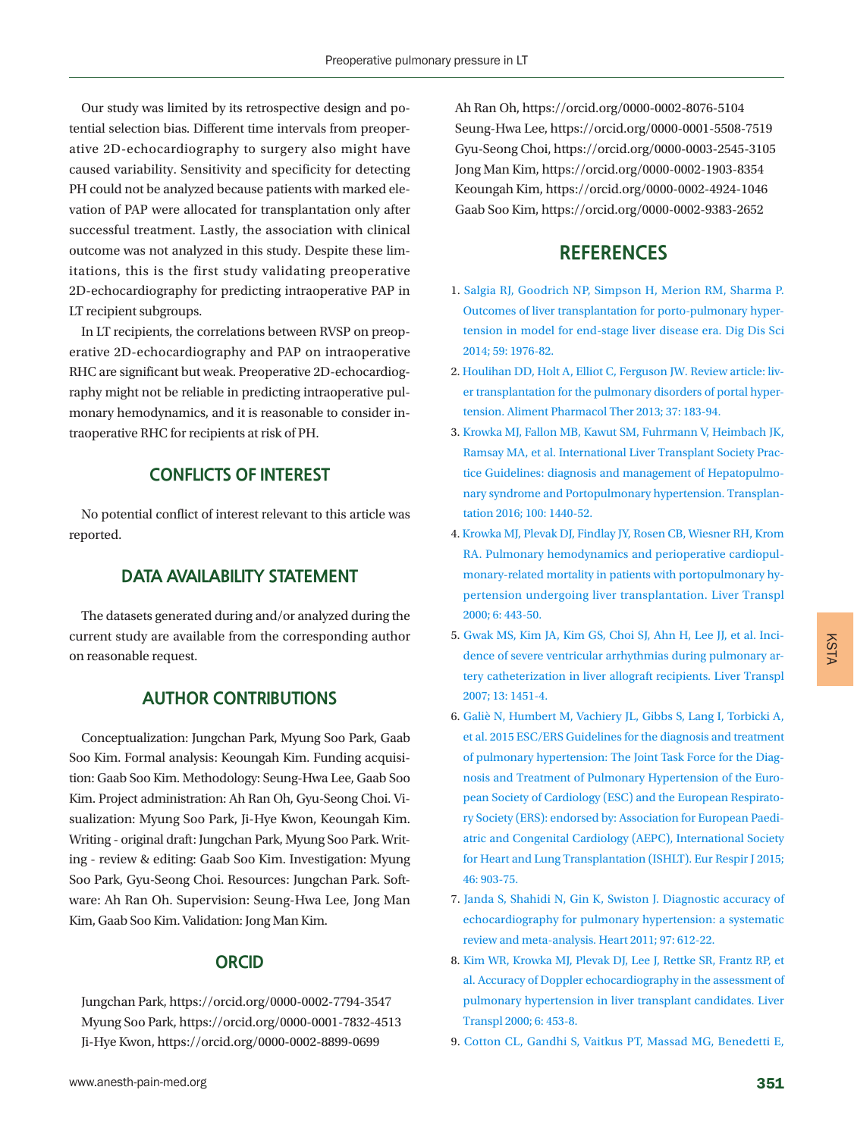Our study was limited by its retrospective design and potential selection bias. Different time intervals from preoperative 2D-echocardiography to surgery also might have caused variability. Sensitivity and specificity for detecting PH could not be analyzed because patients with marked elevation of PAP were allocated for transplantation only after successful treatment. Lastly, the association with clinical outcome was not analyzed in this study. Despite these limitations, this is the first study validating preoperative 2D-echocardiography for predicting intraoperative PAP in LT recipient subgroups.

In LT recipients, the correlations between RVSP on preoperative 2D-echocardiography and PAP on intraoperative RHC are significant but weak. Preoperative 2D-echocardiography might not be reliable in predicting intraoperative pulmonary hemodynamics, and it is reasonable to consider intraoperative RHC for recipients at risk of PH.

# **CONFLICTS OF INTEREST**

No potential conflict of interest relevant to this article was reported.

## **DATA AVAILABILITY STATEMENT**

The datasets generated during and/or analyzed during the current study are available from the corresponding author on reasonable request.

## **AUTHOR CONTRIBUTIONS**

<span id="page-7-0"></span>Conceptualization: Jungchan Park, Myung Soo Park, Gaab Soo Kim. Formal analysis: Keoungah Kim. Funding acquisition: Gaab Soo Kim. Methodology: Seung-Hwa Lee, Gaab Soo Kim. Project administration: Ah Ran Oh, Gyu-Seong Choi. Visualization: Myung Soo Park, Ji-Hye Kwon, Keoungah Kim. Writing - original draft: Jungchan Park, Myung Soo Park. Writing - review & editing: Gaab Soo Kim. Investigation: Myung Soo Park, Gyu-Seong Choi. Resources: Jungchan Park. Software: Ah Ran Oh. Supervision: Seung-Hwa Lee, Jong Man Kim, Gaab Soo Kim. Validation: Jong Man Kim.

## **ORCID**

Jungchan Park, https://orcid.org/0000-0002-7794-3547 Myung Soo Park, https://orcid.org/0000-0001-7832-4513 Ji-Hye Kwon, https://orcid.org/0000-0002-8899-0699

www.anesth-pain-med.org 351

Ah Ran Oh, https://orcid.org/0000-0002-8076-5104 Seung-Hwa Lee, https://orcid.org/0000-0001-5508-7519 Gyu-Seong Choi, https://orcid.org/0000-0003-2545-3105 Jong Man Kim, https://orcid.org/0000-0002-1903-8354 Keoungah Kim, https://orcid.org/0000-0002-4924-1046 Gaab Soo Kim, https://orcid.org/0000-0002-9383-2652

# <span id="page-7-2"></span>**REFERENCES**

- <span id="page-7-3"></span>1. Salgia RJ, Goodrich NP, Simpson H, Merion RM, Sharma [P.](https://doi.org/10.1007/s10620-014-3065-y) [Outcomes of liver transplantation for porto-pulmonary hyper](https://doi.org/10.1007/s10620-014-3065-y)[tension in model for end-stage liver disease era. Dig Dis Sci](https://doi.org/10.1007/s10620-014-3065-y) [2014; 59: 1976-82.](https://doi.org/10.1007/s10620-014-3065-y)
- <span id="page-7-1"></span>2[. Houlihan DD, Holt A, Elliot C, Ferguson JW. Review article: liv](https://doi.org/10.1111/apt.12140)[er transplantation for the pulmonary disorders of portal hyper](https://doi.org/10.1111/apt.12140)[tension. Aliment Pharmacol Ther 2013; 37: 183-94.](https://doi.org/10.1111/apt.12140)
- 3. [Krowka MJ, Fallon MB, Kawut SM, Fuhrmann V, Heimbach JK,](https://www.ncbi.nlm.nih.gov/pubmed/27326810) [Ramsay MA, et al. International Liver Transplant Society Prac](https://www.ncbi.nlm.nih.gov/pubmed/27326810)[tice Guidelines: diagnosis and management of Hepatopulmo](https://www.ncbi.nlm.nih.gov/pubmed/27326810)[nary syndrome and Portopulmonary hypertension.](https://www.ncbi.nlm.nih.gov/pubmed/27326810) Transplantation 2016; 100: 1440-52.
- 4. [Krowka MJ, Plevak DJ, Findlay JY, Rosen CB, Wiesner RH, Krom](https://doi.org/10.1053/jlts.2000.6356)  [RA. Pulmonary hemodynamics and perioperative cardiopul](https://doi.org/10.1053/jlts.2000.6356)[monary-related mortality in patients with portopulmonary hy](https://doi.org/10.1053/jlts.2000.6356)[pertension undergoing liver transplantation. Liver](https://doi.org/10.1053/jlts.2000.6356) Transpl 2000; 6: 443-50.
- <span id="page-7-4"></span>5. Gwak MS, Kim JA, Kim GS, Choi SJ, Ahn H, Lee JJ, et al. Incidence of severe ventricular arrhythmias during pulmonary artery catheterization in liver allograft recipients. Liver [Transpl](https://doi.org/10.1002/lt.21300) [2007; 13: 1451-4.](https://doi.org/10.1002/lt.21300)
- <span id="page-7-5"></span>6. Galiè N, Humbert M, [Vachiery JL, Gibbs S, Lang I, Torbicki A,](https://doi.org/10.1183/13993003.01032-2015) [et al. 2015 ESC/ERS Guidelines for the diagnosis and treatment](https://doi.org/10.1183/13993003.01032-2015) [of pulmonary hypertension: The Joint Task Force for the Diag](https://doi.org/10.1183/13993003.01032-2015)[nosis and Treatment of Pulmonary Hypertension of](https://doi.org/10.1183/13993003.01032-2015) the European Society of Cardiology (ESC) and the European Respiratory Society (ERS): endorsed by: Association for European Paediatric and Congenital Cardiology (AEPC), International Society for Heart and Lung Transplantation (ISHLT). Eur Respir J 2015; 46: 903-75.
- 7. [Janda S, Shahidi N, Gin K, Swiston J. Diagnostic accuracy of](https://doi.org/10.1136/hrt.2010.212084) [echocardiography for pulmonary hypertension: a systematic](https://doi.org/10.1136/hrt.2010.212084) [review and meta-analysis. Heart 2011; 97: 612-22.](https://doi.org/10.1136/hrt.2010.212084)
- 8. [Kim WR, Krowka MJ, Plevak DJ, Lee J, Rettke SR, Frantz RP, et](https://doi.org/10.1053/jlts.2000.7573) [al. Accuracy of Doppler echocardiography in the assessment of](https://doi.org/10.1053/jlts.2000.7573) [pulmonary hypertension in liver transplant candidates. Liver](https://doi.org/10.1053/jlts.2000.7573)  [Transpl 2000; 6: 453-8.](https://doi.org/10.1053/jlts.2000.7573)
- <span id="page-7-6"></span>9. Cotton CL, Gandhi S, Vaitkus PT, Massad MG, Benedetti E,